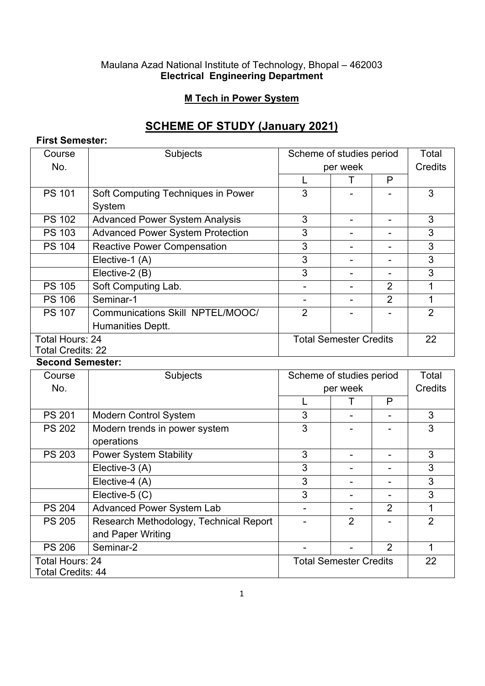#### Maulana Azad National Institute of Technology, Bhopal – 462003 **Electrical Engineering Department**

### **M Tech in Power System**

# **SCHEME OF STUDY (January 2021)**

### **First Semester:**

| Course                   | Subjects                                | Scheme of studies period      |  |                | Total          |
|--------------------------|-----------------------------------------|-------------------------------|--|----------------|----------------|
| No.                      |                                         | per week                      |  |                | Credits        |
|                          |                                         |                               |  | P              |                |
| <b>PS 101</b>            | Soft Computing Techniques in Power      | 3                             |  |                | 3              |
|                          | System                                  |                               |  |                |                |
| <b>PS 102</b>            | <b>Advanced Power System Analysis</b>   | 3                             |  |                | 3              |
| <b>PS 103</b>            | <b>Advanced Power System Protection</b> | 3                             |  |                | 3              |
| <b>PS 104</b>            | <b>Reactive Power Compensation</b>      | 3                             |  |                | 3              |
|                          | Elective-1 (A)                          | 3                             |  |                | 3              |
|                          | Elective-2 (B)                          | 3                             |  |                | 3              |
| <b>PS 105</b>            | Soft Computing Lab.                     |                               |  | $\overline{2}$ |                |
| <b>PS 106</b>            | Seminar-1                               |                               |  | $\overline{2}$ |                |
| <b>PS 107</b>            | Communications Skill NPTEL/MOOC/        | 2                             |  |                | $\overline{2}$ |
|                          | Humanities Deptt.                       |                               |  |                |                |
| <b>Total Hours: 24</b>   |                                         | <b>Total Semester Credits</b> |  |                | 22             |
| <b>Total Credits: 22</b> |                                         |                               |  |                |                |

#### **Second Semester:**

| Course                   | Subjects                               | Scheme of studies period      |                | Total          |                |
|--------------------------|----------------------------------------|-------------------------------|----------------|----------------|----------------|
| No.                      |                                        | per week                      |                | Credits        |                |
|                          |                                        |                               |                | P              |                |
| <b>PS 201</b>            | <b>Modern Control System</b>           | 3                             |                |                | 3              |
| <b>PS 202</b>            | Modern trends in power system          | 3                             |                |                | 3              |
|                          | operations                             |                               |                |                |                |
| <b>PS 203</b>            | <b>Power System Stability</b>          | 3                             |                |                | 3              |
|                          | Elective-3 (A)                         | 3                             |                |                | 3              |
|                          | Elective-4 (A)                         | 3                             |                |                | 3              |
|                          | Elective-5 (C)                         | 3                             |                |                | 3              |
| <b>PS 204</b>            | <b>Advanced Power System Lab</b>       |                               |                | $\overline{2}$ | 1              |
| <b>PS 205</b>            | Research Methodology, Technical Report |                               | $\overline{2}$ |                | $\mathfrak{p}$ |
|                          | and Paper Writing                      |                               |                |                |                |
| <b>PS 206</b>            | Seminar-2                              |                               |                | $\overline{2}$ | 1              |
| <b>Total Hours: 24</b>   |                                        | <b>Total Semester Credits</b> |                |                | 22             |
| <b>Total Credits: 44</b> |                                        |                               |                |                |                |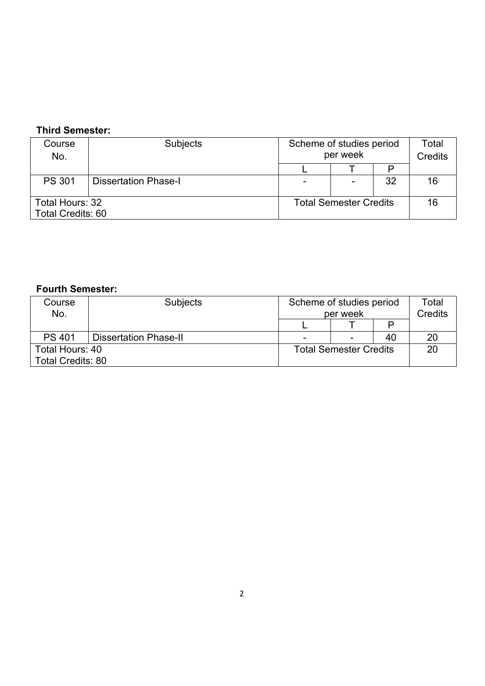## **Third Semester:**

| Course            | <b>Subjects</b>             | Scheme of studies period      |                          | Total |                |
|-------------------|-----------------------------|-------------------------------|--------------------------|-------|----------------|
| No.               |                             | per week                      |                          |       | <b>Credits</b> |
|                   |                             |                               |                          |       |                |
| <b>PS 301</b>     | <b>Dissertation Phase-I</b> |                               | $\overline{\phantom{0}}$ | 32    | 16             |
| Total Hours: 32   |                             | <b>Total Semester Credits</b> |                          |       | 16             |
| Total Credits: 60 |                             |                               |                          |       |                |

# **Fourth Semester:**

| Course<br>No.            | <b>Subjects</b>              | Scheme of studies period<br>per week |  |    | Total<br><b>Credits</b> |
|--------------------------|------------------------------|--------------------------------------|--|----|-------------------------|
|                          |                              |                                      |  |    |                         |
| <b>PS 401</b>            | <b>Dissertation Phase-II</b> |                                      |  | 40 | 20                      |
| Total Hours: 40          |                              | <b>Total Semester Credits</b>        |  |    | 20                      |
| <b>Total Credits: 80</b> |                              |                                      |  |    |                         |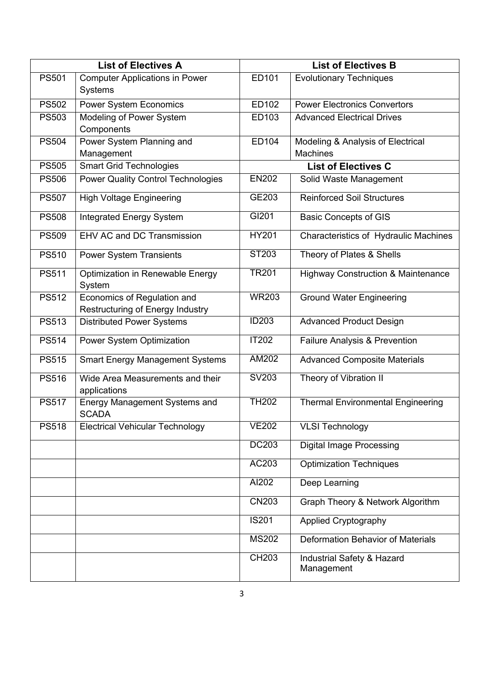| <b>List of Electives A</b> |                                                                        |              | <b>List of Electives B</b>                    |
|----------------------------|------------------------------------------------------------------------|--------------|-----------------------------------------------|
| <b>PS501</b>               | <b>Computer Applications in Power</b>                                  | ED101        | <b>Evolutionary Techniques</b>                |
|                            | <b>Systems</b>                                                         |              |                                               |
| <b>PS502</b>               | <b>Power System Economics</b>                                          | ED102        | <b>Power Electronics Convertors</b>           |
| <b>PS503</b>               | Modeling of Power System                                               | ED103        | <b>Advanced Electrical Drives</b>             |
|                            | Components                                                             |              |                                               |
| <b>PS504</b>               | Power System Planning and                                              | ED104        | Modeling & Analysis of Electrical             |
|                            | Management                                                             |              | <b>Machines</b>                               |
| <b>PS505</b>               | <b>Smart Grid Technologies</b>                                         |              | <b>List of Electives C</b>                    |
| <b>PS506</b>               | <b>Power Quality Control Technologies</b>                              | <b>EN202</b> | Solid Waste Management                        |
| <b>PS507</b>               | <b>High Voltage Engineering</b>                                        | GE203        | <b>Reinforced Soil Structures</b>             |
| <b>PS508</b>               | <b>Integrated Energy System</b>                                        | GI201        | <b>Basic Concepts of GIS</b>                  |
| <b>PS509</b>               | EHV AC and DC Transmission                                             | <b>HY201</b> | Characteristics of Hydraulic Machines         |
| <b>PS510</b>               | <b>Power System Transients</b>                                         | ST203        | Theory of Plates & Shells                     |
| <b>PS511</b>               | Optimization in Renewable Energy<br>System                             | <b>TR201</b> | <b>Highway Construction &amp; Maintenance</b> |
| <b>PS512</b>               | Economics of Regulation and<br><b>Restructuring of Energy Industry</b> | <b>WR203</b> | <b>Ground Water Engineering</b>               |
| <b>PS513</b>               | <b>Distributed Power Systems</b>                                       | <b>ID203</b> | <b>Advanced Product Design</b>                |
| <b>PS514</b>               | Power System Optimization                                              | <b>IT202</b> | Failure Analysis & Prevention                 |
| <b>PS515</b>               | <b>Smart Energy Management Systems</b>                                 | <b>AM202</b> | <b>Advanced Composite Materials</b>           |
| <b>PS516</b>               | Wide Area Measurements and their<br>applications                       | SV203        | Theory of Vibration II                        |
| <b>PS517</b>               | Energy Management Systems and<br><b>SCADA</b>                          | <b>TH202</b> | <b>Thermal Environmental Engineering</b>      |
| <b>PS518</b>               | <b>Electrical Vehicular Technology</b>                                 | <b>VE202</b> | <b>VLSI Technology</b>                        |
|                            |                                                                        | <b>DC203</b> | <b>Digital Image Processing</b>               |
|                            |                                                                        | AC203        | <b>Optimization Techniques</b>                |
|                            |                                                                        | AI202        | Deep Learning                                 |
|                            |                                                                        | <b>CN203</b> | Graph Theory & Network Algorithm              |
|                            |                                                                        | <b>IS201</b> | <b>Applied Cryptography</b>                   |
|                            |                                                                        | <b>MS202</b> | Deformation Behavior of Materials             |
|                            |                                                                        | <b>CH203</b> | Industrial Safety & Hazard<br>Management      |